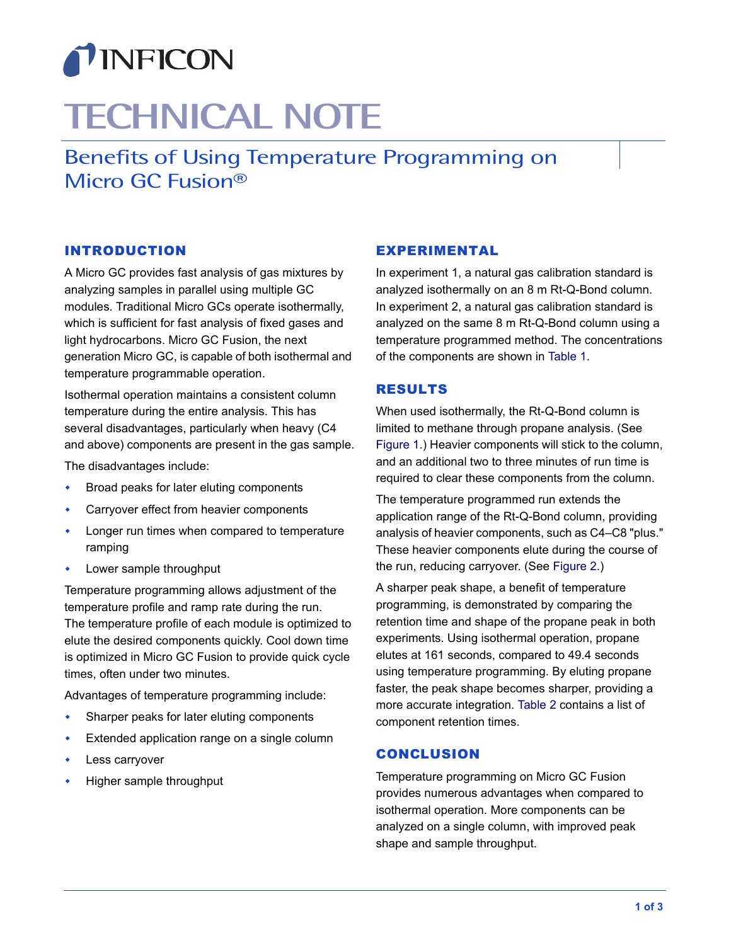

# **TECHNICAL NOTE**

<span id="page-0-0"></span>Benefits of Using Temperature Programming on Micro GC Fusion®

## INTRODUCTION

A Micro GC provides fast analysis of gas mixtures by analyzing samples in parallel using multiple GC modules. Traditional Micro GCs operate isothermally, which is sufficient for fast analysis of fixed gases and light hydrocarbons. Micro GC Fusion, the next generation Micro GC, is capable of both isothermal and temperature programmable operation.

Isothermal operation maintains a consistent column temperature during the entire analysis. This has several disadvantages, particularly when heavy (C4 and above) components are present in the gas sample.

The disadvantages include:

- Broad peaks for later eluting components
- Carryover effect from heavier components
- Longer run times when compared to temperature ramping
- Lower sample throughput

Temperature programming allows adjustment of the temperature profile and ramp rate during the run. The temperature profile of each module is optimized to elute the desired components quickly. Cool down time is optimized in Micro GC Fusion to provide quick cycle times, often under two minutes.

Advantages of temperature programming include:

- Sharper peaks for later eluting components
- Extended application range on a single column
- Less carryover
- Higher sample throughput

#### EXPERIMENTAL

In experiment 1, a natural gas calibration standard is analyzed isothermally on an 8 m Rt-Q-Bond column. In experiment 2, a natural gas calibration standard is analyzed on the same 8 m Rt-Q-Bond column using a temperature programmed method. The concentrations of the components are shown in [Table 1.](#page-1-0)

#### RESULTS

When used isothermally, the Rt-Q-Bond column is limited to methane through propane analysis. (See [Figure 1](#page-2-0).) Heavier components will stick to the column. and an additional two to three minutes of run time is required to clear these components from the column.

The temperature programmed run extends the application range of the Rt-Q-Bond column, providing analysis of heavier components, such as C4–C8 "plus." These heavier components elute during the course of the run, reducing carryover. (See [Figure 2.](#page-2-1))

A sharper peak shape, a benefit of temperature programming, is demonstrated by comparing the retention time and shape of the propane peak in both experiments. Using isothermal operation, propane elutes at 161 seconds, compared to 49.4 seconds using temperature programming. By eluting propane faster, the peak shape becomes sharper, providing a more accurate integration. [Table 2](#page-1-1) contains a list of component retention times.

#### **CONCLUSION**

Temperature programming on Micro GC Fusion provides numerous advantages when compared to isothermal operation. More components can be analyzed on a single column, with improved peak shape and sample throughput.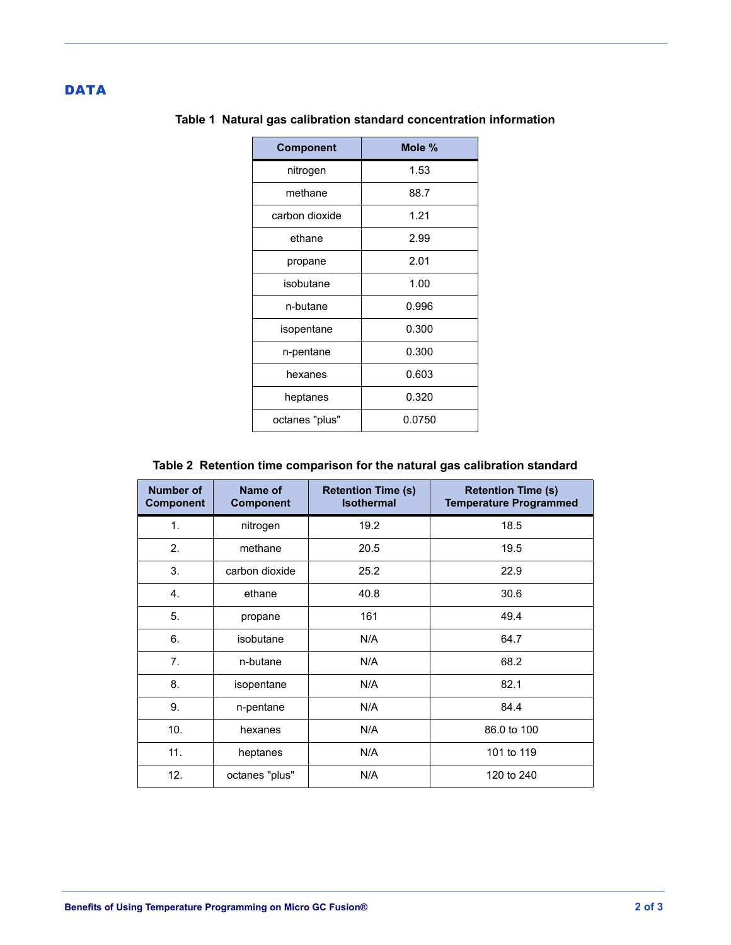### <span id="page-1-0"></span>**DATA**

| <b>Component</b> | Mole % |  |
|------------------|--------|--|
| nitrogen         | 1.53   |  |
| methane          | 88.7   |  |
| carbon dioxide   | 1.21   |  |
| ethane           | 2.99   |  |
| propane          | 2.01   |  |
| isobutane        | 1.00   |  |
| n-butane         | 0.996  |  |
| isopentane       | 0.300  |  |
| n-pentane        | 0.300  |  |
| hexanes          | 0.603  |  |
| heptanes         | 0.320  |  |
| octanes "plus"   | 0.0750 |  |

## **Table 1 Natural gas calibration standard concentration information**

## **Table 2 Retention time comparison for the natural gas calibration standard**

<span id="page-1-1"></span>

| <b>Number of</b><br><b>Component</b> | Name of<br><b>Component</b> | <b>Retention Time (s)</b><br><b>Isothermal</b> | <b>Retention Time (s)</b><br><b>Temperature Programmed</b> |
|--------------------------------------|-----------------------------|------------------------------------------------|------------------------------------------------------------|
| 1.                                   | nitrogen                    | 19.2                                           | 18.5                                                       |
| 2.                                   | methane                     | 20.5                                           | 19.5                                                       |
| 3.                                   | carbon dioxide              | 25.2                                           | 22.9                                                       |
| 4.                                   | ethane                      | 40.8                                           | 30.6                                                       |
| 5.                                   | propane                     | 161                                            | 49.4                                                       |
| 6.                                   | isobutane                   | N/A                                            | 64.7                                                       |
| 7.                                   | n-butane                    | N/A                                            | 68.2                                                       |
| 8.                                   | isopentane                  | N/A                                            | 82.1                                                       |
| 9.                                   | n-pentane                   | N/A                                            | 84.4                                                       |
| 10.                                  | hexanes                     | N/A                                            | 86.0 to 100                                                |
| 11.                                  | heptanes                    | N/A                                            | 101 to 119                                                 |
| 12.                                  | octanes "plus"              | N/A                                            | 120 to 240                                                 |